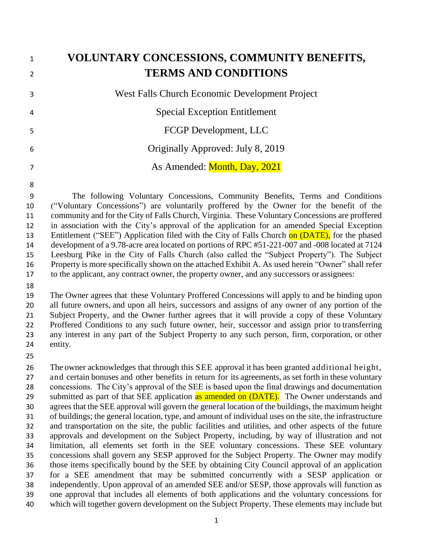| $\mathbf{1}$<br>$\overline{2}$ | VOLUNTARY CONCESSIONS, COMMUNITY BENEFITS,<br><b>TERMS AND CONDITIONS</b>                                           |
|--------------------------------|---------------------------------------------------------------------------------------------------------------------|
|                                |                                                                                                                     |
| 3                              | West Falls Church Economic Development Project                                                                      |
| $\overline{4}$                 | <b>Special Exception Entitlement</b>                                                                                |
| 5                              | FCGP Development, LLC                                                                                               |
| 6                              | Originally Approved: July 8, 2019                                                                                   |
| $\overline{7}$                 | As Amended: Month, Day, 2021                                                                                        |
| 8                              |                                                                                                                     |
| 9                              | The following Voluntary Concessions, Community Benefits, Terms and Conditions                                       |
| $\Omega$                       | $\frac{\text{(``Voluntary)}}{\text{Concases}(one'')}$ are volunterily proffered by the Owner for the benefit of the |

 ("Voluntary Concessions") are voluntarily proffered by the Owner for the benefit of the community and for the City of Falls Church, Virginia. These Voluntary Concessions are proffered in association with the City's approval of the application for an amended Special Exception 13 Entitlement ("SEE") Application filed with the City of Falls Church on (DATE), for the phased development of a 9.78-acre area located on portions of RPC #51-221-007 and -008 located at 7124 Leesburg Pike in the City of Falls Church (also called the "Subject Property"). The Subject Property is more specifically shown on the attached Exhibit A. As used herein "Owner" shall refer to the applicant, any contract owner, the property owner, and any successors or assignees:

 The Owner agrees that these Voluntary Proffered Concessions will apply to and be binding upon all future owners, and upon all heirs, successors and assigns of any owner of any portion of the Subject Property, and the Owner further agrees that it will provide a copy of these Voluntary Proffered Conditions to any such future owner, heir, successor and assign prior to transferring any interest in any part of the Subject Property to any such person, firm, corporation, or other entity.

 The owner acknowledges that through this SEE approval it has been granted additional height, and certain bonuses and other benefits in return for its agreements, as set forth in these voluntary concessions. The City's approval of the SEE is based upon the final drawings and documentation 29 submitted as part of that SEE application as amended on (DATE). The Owner understands and agrees that the SEE approval will govern the general location of the buildings, the maximum height of buildings; the general location, type, and amount of individual uses on the site, the infrastructure and transportation on the site, the public facilities and utilities, and other aspects of the future approvals and development on the Subject Property, including, by way of illustration and not limitation, all elements set forth in the SEE voluntary concessions. These SEE voluntary concessions shall govern any SESP approved for the Subject Property. The Owner may modify those items specifically bound by the SEE by obtaining City Council approval of an application for a SEE amendment that may be submitted concurrently with a SESP application or independently. Upon approval of an amended SEE and/or SESP, those approvals will function as one approval that includes all elements of both applications and the voluntary concessions for which will together govern development on the Subject Property. These elements may include but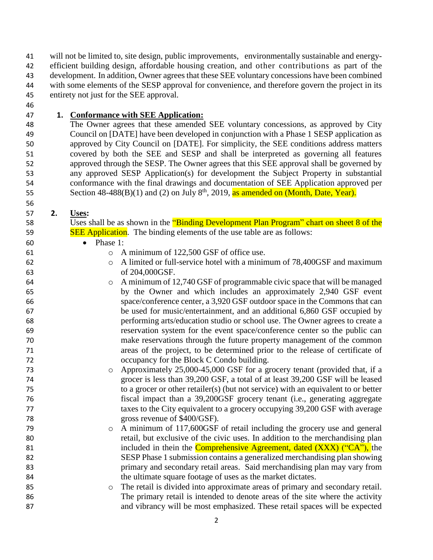will not be limited to, site design, public improvements, environmentally sustainable and energy- efficient building design, affordable housing creation, and other contributions as part of the development. In addition, Owner agrees that these SEE voluntary concessions have been combined 44 with some elements of the SESP approval for convenience, and therefore govern the project in its entirety not just for the SEE approval.

### **1. Conformance with SEE Application:**

 The Owner agrees that these amended SEE voluntary concessions, as approved by City Council on [DATE] have been developed in conjunction with a Phase 1 SESP application as approved by City Council on [DATE]. For simplicity, the SEE conditions address matters covered by both the SEE and SESP and shall be interpreted as governing all features approved through the SESP. The Owner agrees that this SEE approval shall be governed by any approved SESP Application(s) for development the Subject Property in substantial conformance with the final drawings and documentation of SEE Application approved per Section  $48-488(B)(1)$  and (2) on July  $8<sup>th</sup>$ , 2019, as amended on (Month, Date, Year).

### **2. Uses:**

58 Uses shall be as shown in the "Binding Development Plan Program" chart on sheet 8 of the **SEE Application**. The binding elements of the use table are as follows:

### Phase 1:

o A minimum of 122,500 GSF of office use.

 o A limited or full-service hotel with a minimum of 78,400GSF and maximum of 204,000GSF.

 o A minimum of 12,740 GSF of programmable civic space that will be managed by the Owner and which includes an approximately 2,940 GSF event space/conference center, a 3,920 GSF outdoor space in the Commons that can be used for music/entertainment, and an additional 6,860 GSF occupied by performing arts/education studio or school use. The Owner agrees to create a reservation system for the event space/conference center so the public can make reservations through the future property management of the common areas of the project, to be determined prior to the release of certificate of occupancy for the Block C Condo building.

- o Approximately 25,000-45,000 GSF for a grocery tenant (provided that, if a grocer is less than 39,200 GSF, a total of at least 39,200 GSF will be leased to a grocer or other retailer(s) (but not service) with an equivalent to or better fiscal impact than a 39,200GSF grocery tenant (i.e., generating aggregate taxes to the City equivalent to a grocery occupying 39,200 GSF with average 78 gross revenue of \$400/GSF).
- o A minimum of 117,600GSF of retail including the grocery use and general retail, but exclusive of the civic uses. In addition to the merchandising plan 81 included in thein the **Comprehensive Agreement**, dated (XXX) ("CA"), the SESP Phase 1 submission contains a generalized merchandising plan showing primary and secondary retail areas. Said merchandising plan may vary from 84 the ultimate square footage of uses as the market dictates.
- o The retail is divided into approximate areas of primary and secondary retail. The primary retail is intended to denote areas of the site where the activity and vibrancy will be most emphasized. These retail spaces will be expected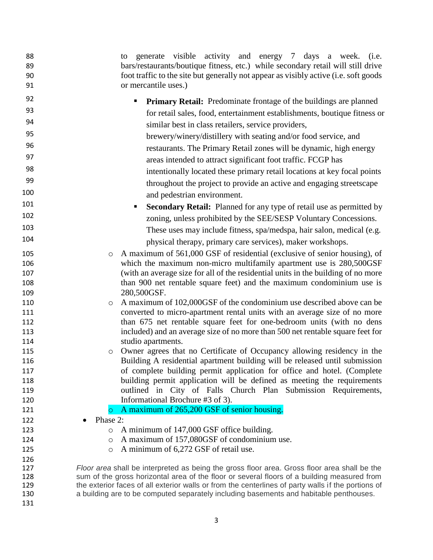| 88         | generate visible activity and energy 7 days a week. (i.e.<br>to                                    |  |
|------------|----------------------------------------------------------------------------------------------------|--|
| 89         | bars/restaurants/boutique fitness, etc.) while secondary retail will still drive                   |  |
| 90         | foot traffic to the site but generally not appear as visibly active (i.e. soft goods               |  |
| 91         | or mercantile uses.)                                                                               |  |
| 92         | <b>Primary Retail:</b> Predominate frontage of the buildings are planned                           |  |
| 93         | for retail sales, food, entertainment establishments, boutique fitness or                          |  |
| 94         | similar best in class retailers, service providers,                                                |  |
| 95         | brewery/winery/distillery with seating and/or food service, and                                    |  |
| 96         | restaurants. The Primary Retail zones will be dynamic, high energy                                 |  |
| 97         | areas intended to attract significant foot traffic. FCGP has                                       |  |
| 98         | intentionally located these primary retail locations at key focal points                           |  |
| 99         | throughout the project to provide an active and engaging streetscape                               |  |
| 100        | and pedestrian environment.                                                                        |  |
| 101        | <b>Secondary Retail:</b> Planned for any type of retail use as permitted by<br>п                   |  |
| 102        | zoning, unless prohibited by the SEE/SESP Voluntary Concessions.                                   |  |
| 103        | These uses may include fitness, spa/medspa, hair salon, medical (e.g.                              |  |
| 104        | physical therapy, primary care services), maker workshops.                                         |  |
| 105        | A maximum of 561,000 GSF of residential (exclusive of senior housing), of<br>$\circ$               |  |
| 106        | which the maximum non-micro multifamily apartment use is 280,500GSF                                |  |
| 107        | (with an average size for all of the residential units in the building of no more                  |  |
| 108        | than 900 net rentable square feet) and the maximum condominium use is                              |  |
| 109        | 280,500GSF.                                                                                        |  |
| 110        | A maximum of 102,000GSF of the condominium use described above can be<br>$\circ$                   |  |
| 111        | converted to micro-apartment rental units with an average size of no more                          |  |
| 112        | than 675 net rentable square feet for one-bedroom units (with no dens                              |  |
| 113        | included) and an average size of no more than 500 net rentable square feet for                     |  |
| 114        | studio apartments.                                                                                 |  |
| 115        | Owner agrees that no Certificate of Occupancy allowing residency in the<br>$\circ$                 |  |
| 116        | Building A residential apartment building will be released until submission                        |  |
| 117        | of complete building permit application for office and hotel. (Complete                            |  |
| 118        | building permit application will be defined as meeting the requirements                            |  |
| 119        | outlined in City of Falls Church Plan Submission Requirements,                                     |  |
| 120        | Informational Brochure #3 of 3).                                                                   |  |
| 121<br>122 | A maximum of 265,200 GSF of senior housing.<br>$\circ$<br>Phase 2:                                 |  |
| 123        | A minimum of 147,000 GSF office building.<br>O                                                     |  |
| 124        | A maximum of 157,080GSF of condominium use.<br>$\circ$                                             |  |
| 125        | A minimum of 6,272 GSF of retail use.<br>O                                                         |  |
| 126        |                                                                                                    |  |
| 127        | Floor area shall be interpreted as being the gross floor area. Gross floor area shall be the       |  |
| 128        | sum of the gross horizontal area of the floor or several floors of a building measured from        |  |
| 129        | the exterior faces of all exterior walls or from the centerlines of party walls if the portions of |  |
| 130        | a building are to be computed separately including basements and habitable penthouses.             |  |
| 131        |                                                                                                    |  |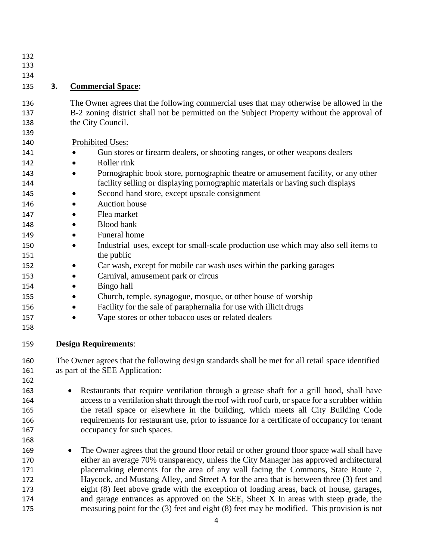- 
- 
- 

### **3. Commercial Space:**

- The Owner agrees that the following commercial uses that may otherwise be allowed in the B-2 zoning district shall not be permitted on the Subject Property without the approval of 138 the City Council.
- Prohibited Uses:
- 141 Gun stores or firearm dealers, or shooting ranges, or other weapons dealers
- Roller rink
- 143 Pornographic book store, pornographic theatre or amusement facility, or any other facility selling or displaying pornographic materials or having such displays
- 145 Second hand store, except upscale consignment
- Auction house
- 147 Flea market
- 148 · Blood bank
- 149 Funeral home
- 150 Industrial uses, except for small-scale production use which may also sell items to 151 the public
- **a** Car wash, except for mobile car wash uses within the parking garages
- **Carnival, amusement park or circus**
- Bingo hall
- **•** Church, temple, synagogue, mosque, or other house of worship
- 156 Facility for the sale of paraphernalia for use with illicit drugs
- **Vape stores or other tobacco uses or related dealers**
- 

**Design Requirements**:

 The Owner agrees that the following design standards shall be met for all retail space identified as part of the SEE Application:

- 163 Restaurants that require ventilation through a grease shaft for a grill hood, shall have access to a ventilation shaft through the roof with roof curb, or space for a scrubber within the retail space or elsewhere in the building, which meets all City Building Code requirements for restaurant use, prior to issuance for a certificate of occupancy for tenant 167 occupancy for such spaces.
- 169 The Owner agrees that the ground floor retail or other ground floor space wall shall have either an average 70% transparency, unless the City Manager has approved architectural placemaking elements for the area of any wall facing the Commons, State Route 7, Haycock, and Mustang Alley, and Street A for the area that is between three (3) feet and eight (8) feet above grade with the exception of loading areas, back of house, garages, and garage entrances as approved on the SEE, Sheet X In areas with steep grade, the measuring point for the (3) feet and eight (8) feet may be modified. This provision is not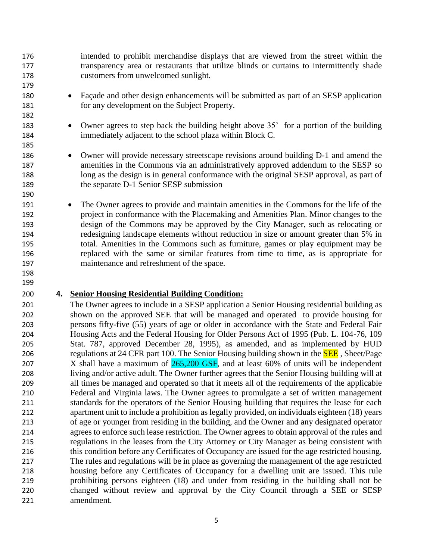intended to prohibit merchandise displays that are viewed from the street within the transparency area or restaurants that utilize blinds or curtains to intermittently shade customers from unwelcomed sunlight.

- Façade and other design enhancements will be submitted as part of an SESP application for any development on the Subject Property.
- 183 Owner agrees to step back the building height above 35' for a portion of the building immediately adjacent to the school plaza within Block C.
- 186 Owner will provide necessary streetscape revisions around building D-1 and amend the amenities in the Commons via an administratively approved addendum to the SESP so long as the design is in general conformance with the original SESP approval, as part of 189 the separate D-1 Senior SESP submission
- 191 The Owner agrees to provide and maintain amenities in the Commons for the life of the project in conformance with the Placemaking and Amenities Plan. Minor changes to the design of the Commons may be approved by the City Manager, such as relocating or redesigning landscape elements without reduction in size or amount greater than 5% in total. Amenities in the Commons such as furniture, games or play equipment may be replaced with the same or similar features from time to time, as is appropriate for maintenance and refreshment of the space.

#### 

### **4. Senior Housing Residential Building Condition:**

 The Owner agrees to include in a SESP application a Senior Housing residential building as shown on the approved SEE that will be managed and operated to provide housing for persons fifty-five (55) years of age or older in accordance with the State and Federal Fair Housing Acts and the Federal Housing for Older Persons Act of 1995 (Pub. L. 104-76, 109 Stat. 787, approved December 28, 1995), as amended, and as implemented by HUD 206 regulations at 24 CFR part 100. The Senior Housing building shown in the **SEE**, Sheet/Page 207 X shall have a maximum of  $265,200$  GSF, and at least 60% of units will be independent living and/or active adult. The Owner further agrees that the Senior Housing building will at all times be managed and operated so that it meets all of the requirements of the applicable Federal and Virginia laws. The Owner agrees to promulgate a set of written management standards for the operators of the Senior Housing building that requires the lease for each apartment unit to include a prohibition as legally provided, on individuals eighteen (18) years of age or younger from residing in the building, and the Owner and any designated operator agrees to enforce such lease restriction. The Owner agrees to obtain approval of the rules and regulations in the leases from the City Attorney or City Manager as being consistent with 216 this condition before any Certificates of Occupancy are issued for the age restricted housing. The rules and regulations will be in place as governing the management of the age restricted housing before any Certificates of Occupancy for a dwelling unit are issued. This rule prohibiting persons eighteen (18) and under from residing in the building shall not be changed without review and approval by the City Council through a SEE or SESP amendment.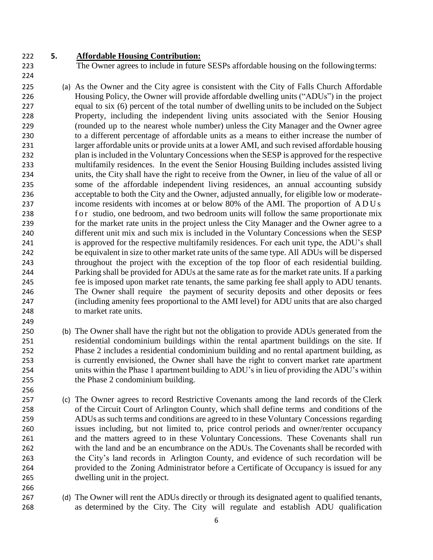### **5. Affordable Housing Contribution:**

The Owner agrees to include in future SESPs affordable housing on the following terms:

- (a) As the Owner and the City agree is consistent with the City of Falls Church Affordable Housing Policy, the Owner will provide affordable dwelling units ("ADUs") in the project equal to six (6) percent of the total number of dwelling units to be included on the Subject Property, including the independent living units associated with the Senior Housing (rounded up to the nearest whole number) unless the City Manager and the Owner agree to a different percentage of affordable units as a means to either increase the number of larger affordable units or provide units at a lower AMI, and such revised affordable housing plan is included in the Voluntary Concessions when the SESP is approved for the respective multifamily residences. In the event the Senior Housing Building includes assisted living units, the City shall have the right to receive from the Owner, in lieu of the value of all or some of the affordable independent living residences, an annual accounting subsidy acceptable to both the City and the Owner, adjusted annually, for eligible low or moderate- income residents with incomes at or below 80% of the AMI. The proportion of ADUs 238 for studio, one bedroom, and two bedroom units will follow the same proportionate mix for the market rate units in the project unless the City Manager and the Owner agree to a different unit mix and such mix is included in the Voluntary Concessions when the SESP is approved for the respective multifamily residences. For each unit type, the ADU's shall be equivalent in size to other market rate units of the same type. All ADUs will be dispersed throughout the project with the exception of the top floor of each residential building. Parking shall be provided for ADUs at the same rate as for the market rate units. If a parking fee is imposed upon market rate tenants, the same parking fee shall apply to ADU tenants. The Owner shall require the payment of security deposits and other deposits or fees (including amenity fees proportional to the AMI level) for ADU units that are also charged to market rate units.
- (b) The Owner shall have the right but not the obligation to provide ADUs generated from the residential condominium buildings within the rental apartment buildings on the site. If Phase 2 includes a residential condominium building and no rental apartment building, as is currently envisioned, the Owner shall have the right to convert market rate apartment units within the Phase 1 apartment building to ADU's in lieu of providing the ADU's within the Phase 2 condominium building.
- (c) The Owner agrees to record Restrictive Covenants among the land records of the Clerk of the Circuit Court of Arlington County, which shall define terms and conditions of the ADUs as such terms and conditions are agreed to in these Voluntary Concessions regarding issues including, but not limited to, price control periods and owner/renter occupancy and the matters agreed to in these Voluntary Concessions. These Covenants shall run with the land and be an encumbrance on the ADUs. The Covenants shall be recorded with the City's land records in Arlington County, and evidence of such recordation will be provided to the Zoning Administrator before a Certificate of Occupancy is issued for any dwelling unit in the project.
- (d) The Owner will rent the ADUs directly or through its designated agent to qualified tenants, as determined by the City. The City will regulate and establish ADU qualification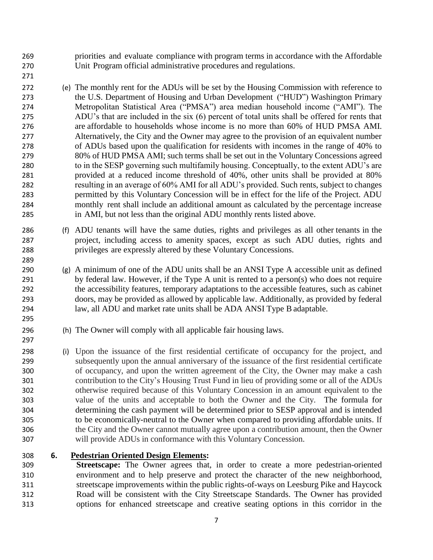priorities and evaluate compliance with program terms in accordance with the Affordable Unit Program official administrative procedures and regulations.

 (e) The monthly rent for the ADUs will be set by the Housing Commission with reference to the U.S. Department of Housing and Urban Development ("HUD") Washington Primary Metropolitan Statistical Area ("PMSA") area median household income ("AMI"). The ADU's that are included in the six (6) percent of total units shall be offered for rents that are affordable to households whose income is no more than 60% of HUD PMSA AMI. Alternatively, the City and the Owner may agree to the provision of an equivalent number of ADUs based upon the qualification for residents with incomes in the range of 40% to 80% of HUD PMSA AMI; such terms shall be set out in the Voluntary Concessions agreed to in the SESP governing such multifamily housing. Conceptually, to the extent ADU's are provided at a reduced income threshold of 40%, other units shall be provided at 80% resulting in an average of 60% AMI for all ADU's provided. Such rents, subject to changes permitted by this Voluntary Concession will be in effect for the life of the Project. ADU monthly rent shall include an additional amount as calculated by the percentage increase in AMI, but not less than the original ADU monthly rents listed above.

- (f) ADU tenants will have the same duties, rights and privileges as all other tenants in the project, including access to amenity spaces, except as such ADU duties, rights and privileges are expressly altered by these Voluntary Concessions.
- (g) A minimum of one of the ADU units shall be an ANSI Type A accessible unit as defined by federal law. However, if the Type A unit is rented to a person(s) who does not require the accessibility features, temporary adaptations to the accessible features, such as cabinet doors, may be provided as allowed by applicable law. Additionally, as provided by federal law, all ADU and market rate units shall be ADA ANSI Type B adaptable.
- (h) The Owner will comply with all applicable fair housing laws.
- (i) Upon the issuance of the first residential certificate of occupancy for the project, and subsequently upon the annual anniversary of the issuance of the first residential certificate of occupancy, and upon the written agreement of the City, the Owner may make a cash contribution to the City's Housing Trust Fund in lieu of providing some or all of the ADUs otherwise required because of this Voluntary Concession in an amount equivalent to the value of the units and acceptable to both the Owner and the City. The formula for determining the cash payment will be determined prior to SESP approval and is intended to be economically-neutral to the Owner when compared to providing affordable units. If the City and the Owner cannot mutually agree upon a contribution amount, then the Owner will provide ADUs in conformance with this Voluntary Concession.
- **6. Pedestrian Oriented Design Elements:**

 **Streetscape:** The Owner agrees that, in order to create a more pedestrian-oriented environment and to help preserve and protect the character of the new neighborhood, streetscape improvements within the public rights-of-ways on Leesburg Pike and Haycock Road will be consistent with the City Streetscape Standards. The Owner has provided options for enhanced streetscape and creative seating options in this corridor in the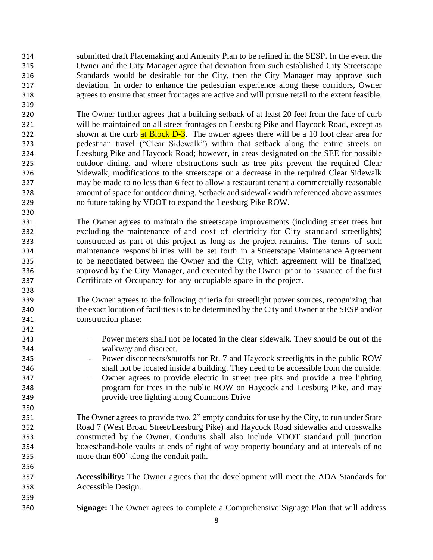submitted draft Placemaking and Amenity Plan to be refined in the SESP. In the event the Owner and the City Manager agree that deviation from such established City Streetscape Standards would be desirable for the City, then the City Manager may approve such deviation. In order to enhance the pedestrian experience along these corridors, Owner agrees to ensure that street frontages are active and will pursue retail to the extent feasible.

 The Owner further agrees that a building setback of at least 20 feet from the face of curb will be maintained on all street frontages on Leesburg Pike and Haycock Road, except as 322 shown at the curb at Block D-3. The owner agrees there will be a 10 foot clear area for pedestrian travel ("Clear Sidewalk") within that setback along the entire streets on Leesburg Pike and Haycock Road; however, in areas designated on the SEE for possible outdoor dining, and where obstructions such as tree pits prevent the required Clear Sidewalk, modifications to the streetscape or a decrease in the required Clear Sidewalk may be made to no less than 6 feet to allow a restaurant tenant a commercially reasonable amount of space for outdoor dining. Setback and sidewalk width referenced above assumes no future taking by VDOT to expand the Leesburg Pike ROW.

 The Owner agrees to maintain the streetscape improvements (including street trees but excluding the maintenance of and cost of electricity for City standard streetlights) constructed as part of this project as long as the project remains. The terms of such maintenance responsibilities will be set forth in a Streetscape Maintenance Agreement to be negotiated between the Owner and the City, which agreement will be finalized, approved by the City Manager, and executed by the Owner prior to issuance of the first Certificate of Occupancy for any occupiable space in the project.

 The Owner agrees to the following criteria for streetlight power sources, recognizing that the exact location of facilities is to be determined by the City and Owner at the SESP and/or construction phase:

- Power meters shall not be located in the clear sidewalk. They should be out of the walkway and discreet.
- 345 Power disconnects/shutoffs for Rt. 7 and Haycock streetlights in the public ROW shall not be located inside a building. They need to be accessible from the outside.
- 347 Owner agrees to provide electric in street tree pits and provide a tree lighting program for trees in the public ROW on Haycock and Leesburg Pike, and may provide tree lighting along Commons Drive
- The Owner agrees to provide two, 2" empty conduits for use by the City, to run under State Road 7 (West Broad Street/Leesburg Pike) and Haycock Road sidewalks and crosswalks constructed by the Owner. Conduits shall also include VDOT standard pull junction boxes/hand-hole vaults at ends of right of way property boundary and at intervals of no more than 600' along the conduit path.
- **Accessibility:** The Owner agrees that the development will meet the ADA Standards for Accessible Design.
- **Signage:** The Owner agrees to complete a Comprehensive Signage Plan that will address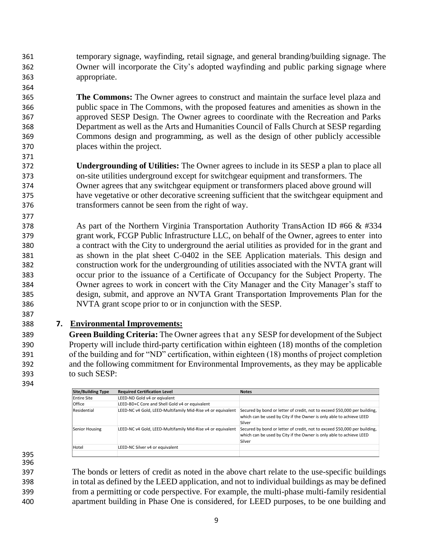temporary signage, wayfinding, retail signage, and general branding/building signage. The Owner will incorporate the City's adopted wayfinding and public parking signage where appropriate.

 **The Commons:** The Owner agrees to construct and maintain the surface level plaza and public space in The Commons, with the proposed features and amenities as shown in the approved SESP Design. The Owner agrees to coordinate with the Recreation and Parks Department as well as the Arts and Humanities Council of Falls Church at SESP regarding Commons design and programming, as well as the design of other publicly accessible places within the project.

- **Undergrounding of Utilities:** The Owner agrees to include in its SESP a plan to place all on-site utilities underground except for switchgear equipment and transformers. The Owner agrees that any switchgear equipment or transformers placed above ground will have vegetative or other decorative screening sufficient that the switchgear equipment and transformers cannot be seen from the right of way.
- 378 As part of the Northern Virginia Transportation Authority TransAction ID #66 & #334 grant work, FCGP Public Infrastructure LLC, on behalf of the Owner, agrees to enter into a contract with the City to underground the aerial utilities as provided for in the grant and as shown in the plat sheet C-0402 in the SEE Application materials. This design and construction work for the undergrounding of utilities associated with the NVTA grant will occur prior to the issuance of a Certificate of Occupancy for the Subject Property. The Owner agrees to work in concert with the City Manager and the City Manager's staff to design, submit, and approve an NVTA Grant Transportation Improvements Plan for the NVTA grant scope prior to or in conjunction with the SESP.

### **7. Environmental Improvements:**

 **Green Building Criteria:** The Owner agrees that any SESP for development of the Subject Property will include third-party certification within eighteen (18) months of the completion of the building and for "ND" certification, within eighteen (18) months of project completion and the following commitment for Environmental Improvements, as they may be applicable to such SESP:

| <b>Required Certification Level</b>                         | <b>Notes</b>                                                                                                                                               |
|-------------------------------------------------------------|------------------------------------------------------------------------------------------------------------------------------------------------------------|
| LEED-ND Gold v4 or eqivalent                                |                                                                                                                                                            |
| LEED-BD+C Core and Shell Gold v4 or equivalent              |                                                                                                                                                            |
| LEED-NC v4 Gold, LEED-Multifamily Mid-Rise v4 or equivalent | Secured by bond or letter of credit, not to exceed \$50,000 per building,<br>which can be used by City if the Owner is only able to achieve LEED<br>Silver |
| LEED-NC v4 Gold, LEED-Multifamily Mid-Rise v4 or equivalent | Secured by bond or letter of credit, not to exceed \$50,000 per building,<br>which can be used by City if the Owner is only able to achieve LEED<br>Silver |
| LEED-NC Silver v4 or equivalent                             |                                                                                                                                                            |
|                                                             |                                                                                                                                                            |

 

 The bonds or letters of credit as noted in the above chart relate to the use-specific buildings in total as defined by the LEED application, and not to individual buildings as may be defined from a permitting or code perspective. For example, the multi-phase multi-family residential apartment building in Phase One is considered, for LEED purposes, to be one building and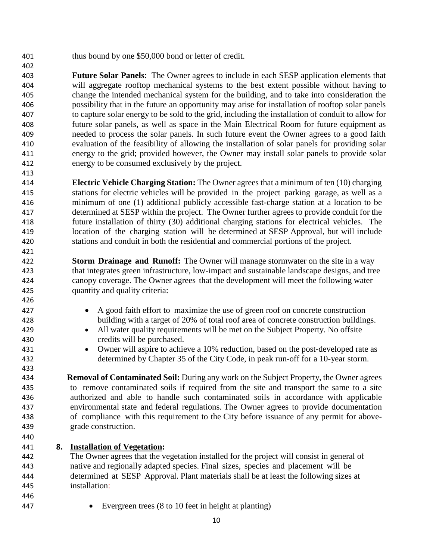thus bound by one \$50,000 bond or letter of credit.

 **Future Solar Panels**: The Owner agrees to include in each SESP application elements that will aggregate rooftop mechanical systems to the best extent possible without having to change the intended mechanical system for the building, and to take into consideration the possibility that in the future an opportunity may arise for installation of rooftop solar panels to capture solar energy to be sold to the grid, including the installation of conduit to allow for future solar panels, as well as space in the Main Electrical Room for future equipment as needed to process the solar panels. In such future event the Owner agrees to a good faith evaluation of the feasibility of allowing the installation of solar panels for providing solar energy to the grid; provided however, the Owner may install solar panels to provide solar energy to be consumed exclusively by the project.

 **Electric Vehicle Charging Station:** The Owner agrees that a minimum of ten (10) charging stations for electric vehicles will be provided in the project parking garage, as well as a minimum of one (1) additional publicly accessible fast-charge station at a location to be determined at SESP within the project. The Owner further agrees to provide conduit for the future installation of thirty (30) additional charging stations for electrical vehicles. The location of the charging station will be determined at SESP Approval, but will include stations and conduit in both the residential and commercial portions of the project.

 **Storm Drainage and Runoff:** The Owner will manage stormwater on the site in a way that integrates green infrastructure, low-impact and sustainable landscape designs, and tree canopy coverage. The Owner agrees that the development will meet the following water quantity and quality criteria:

- 427 A good faith effort to maximize the use of green roof on concrete construction building with a target of 20% of total roof area of concrete construction buildings.
- All water quality requirements will be met on the Subject Property. No offsite credits will be purchased.
- Owner will aspire to achieve a 10% reduction, based on the post-developed rate as determined by Chapter 35 of the City Code, in peak run-off for a 10-year storm.

 **Removal of Contaminated Soil:** During any work on the Subject Property, the Owner agrees to remove contaminated soils if required from the site and transport the same to a site authorized and able to handle such contaminated soils in accordance with applicable environmental state and federal regulations. The Owner agrees to provide documentation of compliance with this requirement to the City before issuance of any permit for above-grade construction.

### **8. Installation of Vegetation:**

 The Owner agrees that the vegetation installed for the project will consist in general of native and regionally adapted species. Final sizes, species and placement will be determined at SESP Approval. Plant materials shall be at least the following sizes at installation:

- 
- Evergreen trees (8 to 10 feet in height at planting)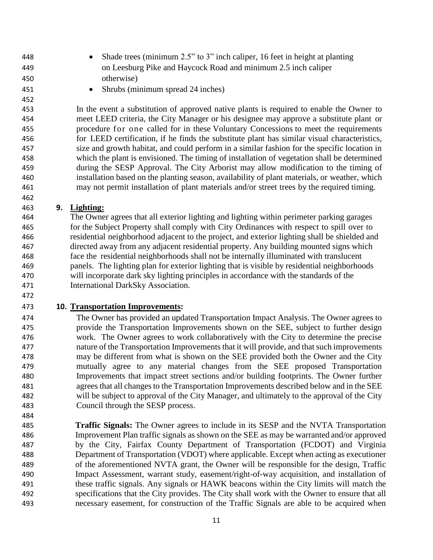- Shade trees (minimum 2.5" to 3" inch caliper, 16 feet in height at planting on Leesburg Pike and Haycock Road and minimum 2.5 inch caliper
- otherwise)

- 
- 451 Shrubs (minimum spread 24 inches)

 In the event a substitution of approved native plants is required to enable the Owner to meet LEED criteria, the City Manager or his designee may approve a substitute plant or procedure for one called for in these Voluntary Concessions to meet the requirements for LEED certification, if he finds the substitute plant has similar visual characteristics, size and growth habitat, and could perform in a similar fashion for the specific location in which the plant is envisioned. The timing of installation of vegetation shall be determined during the SESP Approval. The City Arborist may allow modification to the timing of installation based on the planting season, availability of plant materials, or weather, which may not permit installation of plant materials and/or street trees by the required timing.

# **9. Lighting:**

 The Owner agrees that all exterior lighting and lighting within perimeter parking garages for the Subject Property shall comply with City Ordinances with respect to spill over to residential neighborhood adjacent to the project, and exterior lighting shall be shielded and directed away from any adjacent residential property. Any building mounted signs which face the residential neighborhoods shall not be internally illuminated with translucent panels. The lighting plan for exterior lighting that is visible by residential neighborhoods will incorporate dark sky lighting principles in accordance with the standards of the International DarkSky Association.

# 

# **10. Transportation Improvements:**

 The Owner has provided an updated Transportation Impact Analysis. The Owner agrees to provide the Transportation Improvements shown on the SEE, subject to further design work. The Owner agrees to work collaboratively with the City to determine the precise nature of the Transportation Improvements that it will provide, and that such improvements may be different from what is shown on the SEE provided both the Owner and the City mutually agree to any material changes from the SEE proposed Transportation Improvements that impact street sections and/or building footprints. The Owner further agrees that all changes to the Transportation Improvements described below and in the SEE will be subject to approval of the City Manager, and ultimately to the approval of the City Council through the SESP process.

 **Traffic Signals:** The Owner agrees to include in its SESP and the NVTA Transportation Improvement Plan traffic signals as shown on the SEE as may be warranted and/or approved by the City, Fairfax County Department of Transportation (FCDOT) and Virginia Department of Transportation (VDOT) where applicable. Except when acting as executioner of the aforementioned NVTA grant, the Owner will be responsible for the design, Traffic Impact Assessment, warrant study, easement/right-of-way acquisition, and installation of these traffic signals. Any signals or HAWK beacons within the City limits will match the specifications that the City provides. The City shall work with the Owner to ensure that all necessary easement, for construction of the Traffic Signals are able to be acquired when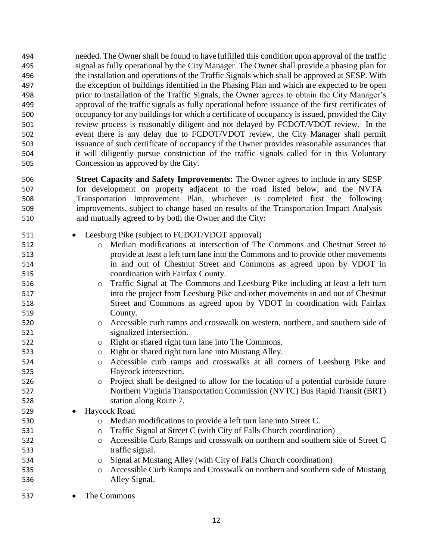needed. The Owner shall be found to havefulfilled this condition upon approval of the traffic signal as fully operational by the City Manager. The Owner shall provide a phasing plan for the installation and operations of the Traffic Signals which shall be approved at SESP. With the exception of buildings identified in the Phasing Plan and which are expected to be open prior to installation of the Traffic Signals, the Owner agrees to obtain the City Manager's approval of the traffic signals as fully operational before issuance of the first certificates of occupancy for any buildings for which a certificate of occupancy is issued, provided the City review process is reasonably diligent and not delayed by FCDOT/VDOT review. In the event there is any delay due to FCDOT/VDOT review, the City Manager shall permit issuance of such certificate of occupancy if the Owner provides reasonable assurances that it will diligently pursue construction of the traffic signals called for in this Voluntary Concession as approved by the City.

- **Street Capacity and Safety Improvements:** The Owner agrees to include in any SESP for development on property adjacent to the road listed below, and the NVTA Transportation Improvement Plan, whichever is completed first the following improvements, subject to change based on results of the Transportation Impact Analysis and mutually agreed to by both the Owner and the City:
- 511 Leesburg Pike (subject to FCDOT/VDOT approval)
- o Median modifications at intersection of The Commons and Chestnut Street to provide at least a left turn lane into the Commons and to provide other movements in and out of Chestnut Street and Commons as agreed upon by VDOT in coordination with Fairfax County. o Traffic Signal at The Commons and Leesburg Pike including at least a left turn into the project from Leesburg Pike and other movements in and out of Chestnut
- Street and Commons as agreed upon by VDOT in coordination with Fairfax County.
- o Accessible curb ramps and crosswalk on western, northern, and southern side of signalized intersection.
- o Right or shared right turn lane into The Commons.
- o Right or shared right turn lane into Mustang Alley.
- o Accessible curb ramps and crosswalks at all corners of Leesburg Pike and Haycock intersection.
- o Project shall be designed to allow for the location of a potential curbside future Northern Virginia Transportation Commission (NVTC) Bus Rapid Transit (BRT) station along Route 7.

529 • Havcock Road

- o Median modifications to provide a left turn lane into Street C.
- o Traffic Signal at Street C (with City of Falls Church coordination)
- o Accessible Curb Ramps and crosswalk on northern and southern side of Street C traffic signal.
- o Signal at Mustang Alley (with City of Falls Church coordination)
- o Accessible Curb Ramps and Crosswalk on northern and southern side of Mustang Alley Signal.

The Commons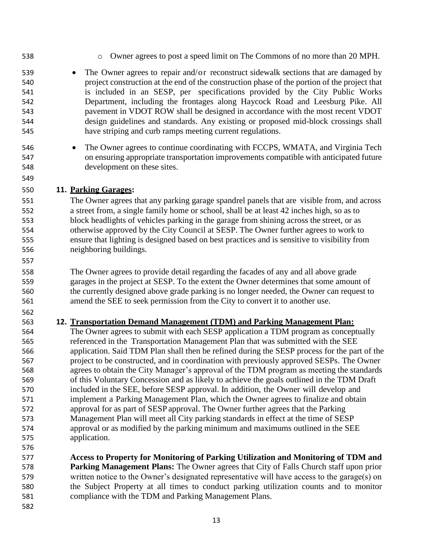- 
- o Owner agrees to post a speed limit on The Commons of no more than 20 MPH.
- 539 The Owner agrees to repair and/or reconstruct sidewalk sections that are damaged by project construction at the end of the construction phase of the portion of the project that is included in an SESP, per specifications provided by the City Public Works Department, including the frontages along Haycock Road and Leesburg Pike. All pavement in VDOT ROW shall be designed in accordance with the most recent VDOT design guidelines and standards. Any existing or proposed mid-block crossings shall have striping and curb ramps meeting current regulations.
- The Owner agrees to continue coordinating with FCCPS, WMATA, and Virginia Tech on ensuring appropriate transportation improvements compatible with anticipated future development on these sites.

### **11. Parking Garages:**

 The Owner agrees that any parking garage spandrel panels that are visible from, and across a street from, a single family home or school, shall be at least 42 inches high, so as to block headlights of vehicles parking in the garage from shining across the street, or as otherwise approved by the City Council at SESP. The Owner further agrees to work to ensure that lighting is designed based on best practices and is sensitive to visibility from neighboring buildings.

 The Owner agrees to provide detail regarding the facades of any and all above grade garages in the project at SESP. To the extent the Owner determines that some amount of the currently designed above grade parking is no longer needed, the Owner can request to amend the SEE to seek permission from the City to convert it to another use.

### **12. Transportation Demand Management (TDM) and Parking Management Plan:**

 The Owner agrees to submit with each SESP application a TDM program as conceptually referenced in the Transportation Management Plan that was submitted with the SEE application. Said TDM Plan shall then be refined during the SESP process for the part of the project to be constructed, and in coordination with previously approved SESPs. The Owner agrees to obtain the City Manager's approval of the TDM program as meeting the standards of this Voluntary Concession and as likely to achieve the goals outlined in the TDM Draft included in the SEE, before SESP approval. In addition, the Owner will develop and implement a Parking Management Plan, which the Owner agrees to finalize and obtain approval for as part of SESP approval. The Owner further agrees that the Parking Management Plan will meet all City parking standards in effect at the time of SESP approval or as modified by the parking minimum and maximums outlined in the SEE application.

 **Access to Property for Monitoring of Parking Utilization and Monitoring of TDM and Parking Management Plans:** The Owner agrees that City of Falls Church staff upon prior written notice to the Owner's designated representative will have access to the garage(s) on the Subject Property at all times to conduct parking utilization counts and to monitor compliance with the TDM and Parking Management Plans.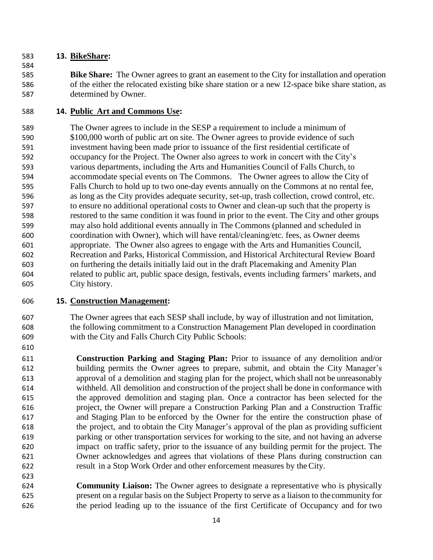### **13. BikeShare:**

 **Bike Share:** The Owner agrees to grant an easement to the City for installation and operation of the either the relocated existing bike share station or a new 12-space bike share station, as determined by Owner.

## **14. Public Art and Commons Use:**

 The Owner agrees to include in the SESP a requirement to include a minimum of \$100,000 worth of public art on site. The Owner agrees to provide evidence of such investment having been made prior to issuance of the first residential certificate of occupancy for the Project. The Owner also agrees to work in concert with the City's various departments, including the Arts and Humanities Council of Falls Church, to accommodate special events on The Commons. The Owner agrees to allow the City of Falls Church to hold up to two one-day events annually on the Commons at no rental fee, as long as the City provides adequate security, set-up, trash collection, crowd control, etc. to ensure no additional operational costs to Owner and clean-up such that the property is restored to the same condition it was found in prior to the event. The City and other groups may also hold additional events annually in The Commons (planned and scheduled in coordination with Owner), which will have rental/cleaning/etc. fees, as Owner deems appropriate. The Owner also agrees to engage with the Arts and Humanities Council, Recreation and Parks, Historical Commission, and Historical Architectural Review Board on furthering the details initially laid out in the draft Placemaking and Amenity Plan related to public art, public space design, festivals, events including farmers' markets, and City history.

# **15. Construction Management:**

 The Owner agrees that each SESP shall include, by way of illustration and not limitation, the following commitment to a Construction Management Plan developed in coordination with the City and Falls Church City Public Schools:

 **Construction Parking and Staging Plan:** Prior to issuance of any demolition and/or building permits the Owner agrees to prepare, submit, and obtain the City Manager's approval of a demolition and staging plan for the project, which shall not be unreasonably withheld. All demolition and construction of the project shall be done in conformance with the approved demolition and staging plan. Once a contractor has been selected for the project, the Owner will prepare a Construction Parking Plan and a Construction Traffic and Staging Plan to be enforced by the Owner for the entire the construction phase of the project, and to obtain the City Manager's approval of the plan as providing sufficient parking or other transportation services for working to the site, and not having an adverse impact on traffic safety, prior to the issuance of any building permit for the project. The Owner acknowledges and agrees that violations of these Plans during construction can result in a Stop Work Order and other enforcement measures by theCity.

 **Community Liaison:** The Owner agrees to designate a representative who is physically present on a regular basis on the Subject Property to serve as a liaison to the community for the period leading up to the issuance of the first Certificate of Occupancy and for two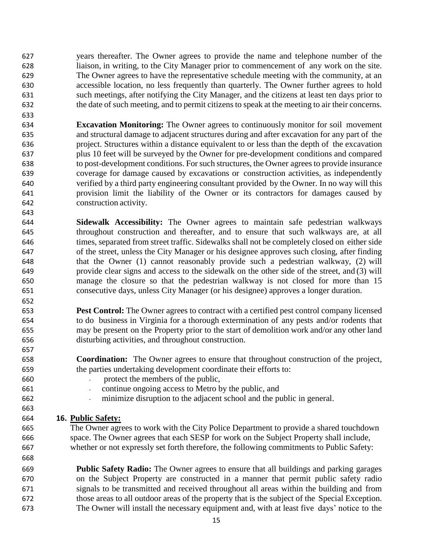years thereafter. The Owner agrees to provide the name and telephone number of the liaison, in writing, to the City Manager prior to commencement of any work on the site. The Owner agrees to have the representative schedule meeting with the community, at an accessible location, no less frequently than quarterly. The Owner further agrees to hold such meetings, after notifying the City Manager, and the citizens at least ten days prior to the date of such meeting, and to permit citizens to speak at the meeting to air their concerns.

 **Excavation Monitoring:** The Owner agrees to continuously monitor for soil movement and structural damage to adjacent structures during and after excavation for any part of the project. Structures within a distance equivalent to or less than the depth of the excavation plus 10 feet will be surveyed by the Owner for pre-development conditions and compared to post-development conditions. For such structures, the Owner agreesto provide insurance coverage for damage caused by excavations or construction activities, as independently verified by a third party engineering consultant provided by the Owner. In no way will this provision limit the liability of the Owner or its contractors for damages caused by construction activity.

 **Sidewalk Accessibility:** The Owner agrees to maintain safe pedestrian walkways throughout construction and thereafter, and to ensure that such walkways are, at all times, separated from street traffic. Sidewalks shall not be completely closed on either side of the street, unless the City Manager or his designee approves such closing, after finding that the Owner (1) cannot reasonably provide such a pedestrian walkway, (2) will provide clear signs and access to the sidewalk on the other side of the street, and (3) will manage the closure so that the pedestrian walkway is not closed for more than 15 consecutive days, unless City Manager (or his designee) approves a longer duration.

 **Pest Control:** The Owner agrees to contract with a certified pest control company licensed to do business in Virginia for a thorough extermination of any pests and/or rodents that may be present on the Property prior to the start of demolition work and/or any other land disturbing activities, and throughout construction.

 **Coordination:** The Owner agrees to ensure that throughout construction of the project, the parties undertaking development coordinate their efforts to:

- 
- 

- protect the members of the public,
- continue ongoing access to Metro by the public, and
- minimize disruption to the adjacent school and the public in general.

# **16. Public Safety:**

 The Owner agrees to work with the City Police Department to provide a shared touchdown space. The Owner agrees that each SESP for work on the Subject Property shall include, whether or not expressly set forth therefore, the following commitments to Public Safety:

 **Public Safety Radio:** The Owner agrees to ensure that all buildings and parking garages on the Subject Property are constructed in a manner that permit public safety radio signals to be transmitted and received throughout all areas within the building and from those areas to all outdoor areas of the property that is the subject of the Special Exception. The Owner will install the necessary equipment and, with at least five days' notice to the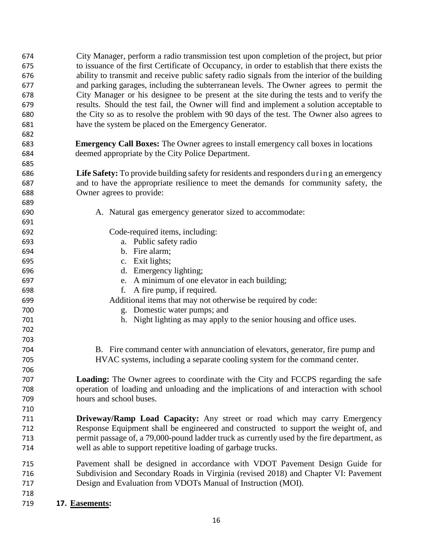| 674 | City Manager, perform a radio transmission test upon completion of the project, but prior      |  |  |
|-----|------------------------------------------------------------------------------------------------|--|--|
| 675 | to issuance of the first Certificate of Occupancy, in order to establish that there exists the |  |  |
| 676 | ability to transmit and receive public safety radio signals from the interior of the building  |  |  |
| 677 | and parking garages, including the subterranean levels. The Owner agrees to permit the         |  |  |
| 678 | City Manager or his designee to be present at the site during the tests and to verify the      |  |  |
| 679 | results. Should the test fail, the Owner will find and implement a solution acceptable to      |  |  |
| 680 | the City so as to resolve the problem with 90 days of the test. The Owner also agrees to       |  |  |
| 681 | have the system be placed on the Emergency Generator.                                          |  |  |
| 682 |                                                                                                |  |  |
| 683 | <b>Emergency Call Boxes:</b> The Owner agrees to install emergency call boxes in locations     |  |  |
| 684 | deemed appropriate by the City Police Department.                                              |  |  |
| 685 |                                                                                                |  |  |
| 686 | Life Safety: To provide building safety for residents and responders during an emergency       |  |  |
| 687 | and to have the appropriate resilience to meet the demands for community safety, the           |  |  |
| 688 | Owner agrees to provide:                                                                       |  |  |
| 689 |                                                                                                |  |  |
| 690 | A. Natural gas emergency generator sized to accommodate:                                       |  |  |
| 691 |                                                                                                |  |  |
| 692 | Code-required items, including:                                                                |  |  |
| 693 | a. Public safety radio                                                                         |  |  |
| 694 | b. Fire alarm;                                                                                 |  |  |
| 695 | c. Exit lights;                                                                                |  |  |
| 696 | d. Emergency lighting;                                                                         |  |  |
| 697 | e. A minimum of one elevator in each building;                                                 |  |  |
| 698 | A fire pump, if required.<br>f.                                                                |  |  |
| 699 | Additional items that may not otherwise be required by code:                                   |  |  |
| 700 | g. Domestic water pumps; and                                                                   |  |  |
| 701 | h. Night lighting as may apply to the senior housing and office uses.                          |  |  |
| 702 |                                                                                                |  |  |
| 703 |                                                                                                |  |  |
| 704 | B. Fire command center with annunciation of elevators, generator, fire pump and                |  |  |
| 705 | HVAC systems, including a separate cooling system for the command center.                      |  |  |
| 706 |                                                                                                |  |  |
| 707 | <b>Loading:</b> The Owner agrees to coordinate with the City and FCCPS regarding the safe      |  |  |
| 708 | operation of loading and unloading and the implications of and interaction with school         |  |  |
| 709 | hours and school buses.                                                                        |  |  |
| 710 |                                                                                                |  |  |
| 711 | Driveway/Ramp Load Capacity: Any street or road which may carry Emergency                      |  |  |
| 712 | Response Equipment shall be engineered and constructed to support the weight of, and           |  |  |
| 713 | permit passage of, a 79,000-pound ladder truck as currently used by the fire department, as    |  |  |
| 714 | well as able to support repetitive loading of garbage trucks.                                  |  |  |
| 715 | Pavement shall be designed in accordance with VDOT Pavement Design Guide for                   |  |  |
| 716 | Subdivision and Secondary Roads in Virginia (revised 2018) and Chapter VI: Pavement            |  |  |
| 717 | Design and Evaluation from VDOTs Manual of Instruction (MOI).                                  |  |  |
| 718 |                                                                                                |  |  |
| 719 | 17. Easements:                                                                                 |  |  |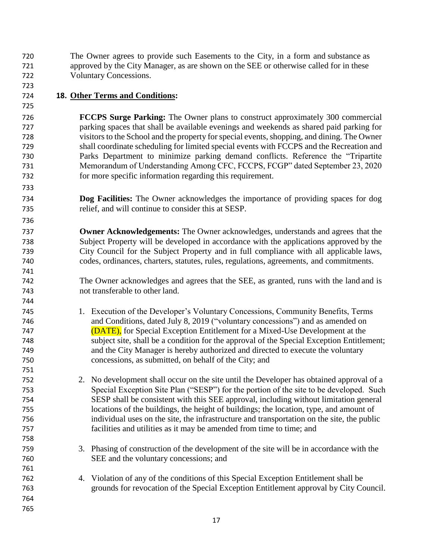The Owner agrees to provide such Easements to the City, in a form and substance as approved by the City Manager, as are shown on the SEE or otherwise called for in these Voluntary Concessions.

# **18. Other Terms and Conditions:**

 **FCCPS Surge Parking:** The Owner plans to construct approximately 300 commercial parking spaces that shall be available evenings and weekends as shared paid parking for visitors to the School and the property for special events, shopping, and dining. The Owner shall coordinate scheduling for limited special events with FCCPS and the Recreation and Parks Department to minimize parking demand conflicts. Reference the "Tripartite Memorandum of Understanding Among CFC, FCCPS, FCGP" dated September 23, 2020 for more specific information regarding this requirement.

 **Dog Facilities:** The Owner acknowledges the importance of providing spaces for dog relief, and will continue to consider this at SESP.

 **Owner Acknowledgements:** The Owner acknowledges, understands and agrees that the Subject Property will be developed in accordance with the applications approved by the City Council for the Subject Property and in full compliance with all applicable laws, codes, ordinances, charters, statutes, rules, regulations, agreements, and commitments.

 The Owner acknowledges and agrees that the SEE, as granted, runs with the land and is not transferable to other land.

 1. Execution of the Developer's Voluntary Concessions, Community Benefits, Terms and Conditions, dated July 8, 2019 ("voluntary concessions") and as amended on (DATE), for Special Exception Entitlement for a Mixed-Use Development at the subject site, shall be a condition for the approval of the Special Exception Entitlement; and the City Manager is hereby authorized and directed to execute the voluntary concessions, as submitted, on behalf of the City; and

 2. No development shall occur on the site until the Developer has obtained approval of a Special Exception Site Plan ("SESP") for the portion of the site to be developed. Such SESP shall be consistent with this SEE approval, including without limitation general locations of the buildings, the height of buildings; the location, type, and amount of individual uses on the site, the infrastructure and transportation on the site, the public facilities and utilities as it may be amended from time to time; and

- 3. Phasing of construction of the development of the site will be in accordance with the SEE and the voluntary concessions; and
- 4. Violation of any of the conditions of this Special Exception Entitlement shall be grounds for revocation of the Special Exception Entitlement approval by City Council.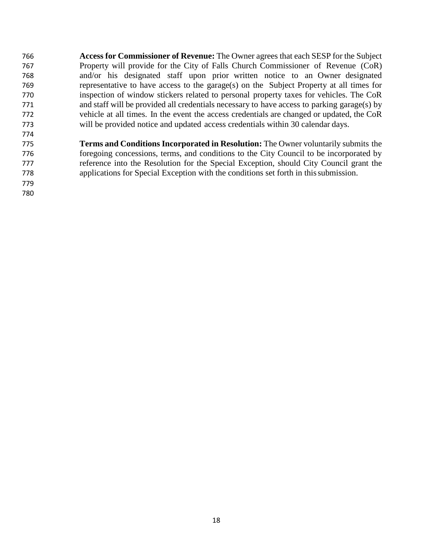**Access for Commissioner of Revenue:** The Owner agrees that each SESP for the Subject Property will provide for the City of Falls Church Commissioner of Revenue (CoR) and/or his designated staff upon prior written notice to an Owner designated representative to have access to the garage(s) on the Subject Property at all times for inspection of window stickers related to personal property taxes for vehicles. The CoR and staff will be provided all credentials necessary to have access to parking garage(s) by vehicle at all times. In the event the access credentials are changed or updated, the CoR will be provided notice and updated access credentials within 30 calendar days. 

 

 **Terms and Conditions Incorporated in Resolution:** The Owner voluntarily submits the foregoing concessions, terms, and conditions to the City Council to be incorporated by reference into the Resolution for the Special Exception, should City Council grant the applications for Special Exception with the conditions set forth in thissubmission.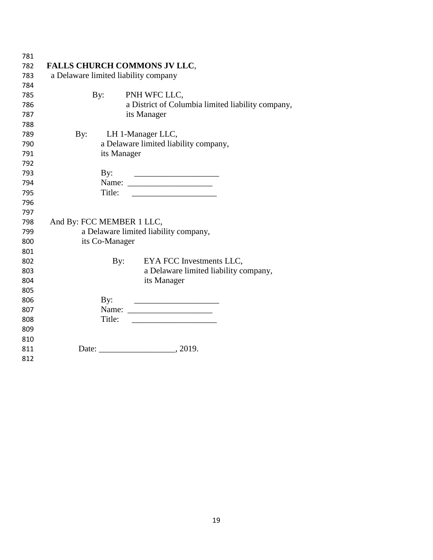| 781 |                                       |     |                                                   |  |  |
|-----|---------------------------------------|-----|---------------------------------------------------|--|--|
| 782 | <b>FALLS CHURCH COMMONS JV LLC,</b>   |     |                                                   |  |  |
| 783 | a Delaware limited liability company  |     |                                                   |  |  |
| 784 |                                       |     |                                                   |  |  |
| 785 | By:                                   |     | PNH WFC LLC,                                      |  |  |
| 786 |                                       |     | a District of Columbia limited liability company, |  |  |
| 787 |                                       |     | its Manager                                       |  |  |
| 788 |                                       |     |                                                   |  |  |
| 789 | By:                                   |     | LH 1-Manager LLC,                                 |  |  |
| 790 | a Delaware limited liability company, |     |                                                   |  |  |
| 791 | its Manager                           |     |                                                   |  |  |
| 792 |                                       |     |                                                   |  |  |
| 793 | By:                                   |     |                                                   |  |  |
| 794 |                                       |     |                                                   |  |  |
| 795 | Title:                                |     |                                                   |  |  |
| 796 |                                       |     |                                                   |  |  |
| 797 |                                       |     |                                                   |  |  |
| 798 | And By: FCC MEMBER 1 LLC,             |     |                                                   |  |  |
| 799 | a Delaware limited liability company, |     |                                                   |  |  |
| 800 | its Co-Manager                        |     |                                                   |  |  |
| 801 |                                       |     |                                                   |  |  |
| 802 |                                       | By: | EYA FCC Investments LLC,                          |  |  |
| 803 |                                       |     | a Delaware limited liability company,             |  |  |
| 804 |                                       |     | its Manager                                       |  |  |
| 805 |                                       |     |                                                   |  |  |
| 806 | By:                                   |     |                                                   |  |  |
| 807 |                                       |     |                                                   |  |  |
| 808 | Title:                                |     |                                                   |  |  |
| 809 |                                       |     |                                                   |  |  |
| 810 |                                       |     |                                                   |  |  |
| 811 |                                       |     | Date: 2019.                                       |  |  |
| 812 |                                       |     |                                                   |  |  |